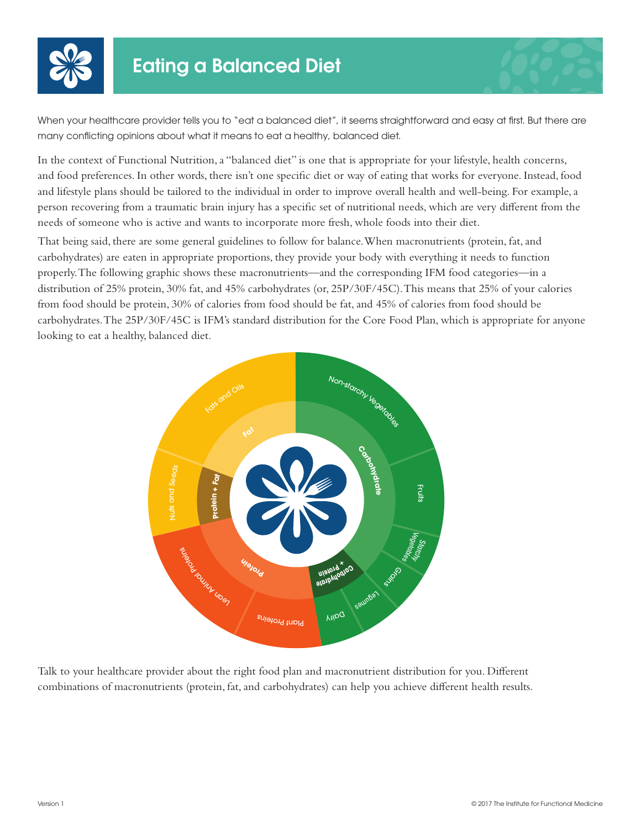

When your healthcare provider tells you to "eat a balanced diet", it seems straightforward and easy at first. But there are many conflicting opinions about what it means to eat a healthy, balanced diet.

In the context of Functional Nutrition, a "balanced diet" is one that is appropriate for your lifestyle, health concerns, and food preferences. In other words, there isn't one specific diet or way of eating that works for everyone. Instead, food and lifestyle plans should be tailored to the individual in order to improve overall health and well-being. For example, a person recovering from a traumatic brain injury has a specific set of nutritional needs, which are very different from the needs of someone who is active and wants to incorporate more fresh, whole foods into their diet.

That being said, there are some general guidelines to follow for balance. When macronutrients (protein, fat, and carbohydrates) are eaten in appropriate proportions, they provide your body with everything it needs to function properly. The following graphic shows these macronutrients—and the corresponding IFM food categories—in a distribution of 25% protein, 30% fat, and 45% carbohydrates (or, 25P/30F/45C). This means that 25% of your calories from food should be protein, 30% of calories from food should be fat, and 45% of calories from food should be carbohydrates. The 25P/30F/45C is IFM's standard distribution for the Core Food Plan, which is appropriate for anyone looking to eat a healthy, balanced diet.



Talk to your healthcare provider about the right food plan and macronutrient distribution for you. Different combinations of macronutrients (protein, fat, and carbohydrates) can help you achieve different health results.